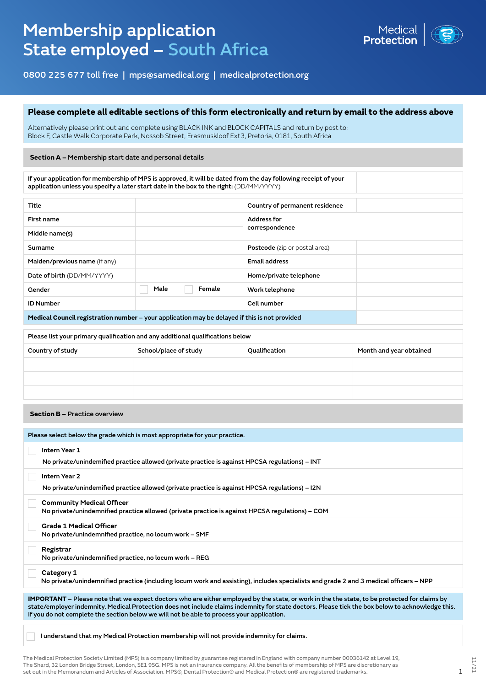# Membership application State employed – South Africa



0800 225 677 toll free | mps@samedical.org | medicalprotection.org

## **Please complete all editable sections of this form electronically and return by email to the address above**

Alternatively please print out and complete using BLACK INK and BLOCK CAPITALS and return by post to: Block F, Castle Walk Corporate Park, Nossob Street, Erasmuskloof Ext3, Pretoria, 0181, South Africa

#### **Section A –** Membership start date and personal details

If your application for membership of MPS is approved, it will be dated from the day following receipt of your application unless you specify a later start date in the box to the right: (DD/MM/YYYY)

| Title                                                                                         |                | Country of permanent residence       |  |
|-----------------------------------------------------------------------------------------------|----------------|--------------------------------------|--|
| First name                                                                                    |                | <b>Address for</b>                   |  |
| Middle name(s)                                                                                |                | correspondence                       |  |
| Surname                                                                                       |                | <b>Postcode</b> (zip or postal area) |  |
| Maiden/previous name (if any)                                                                 |                | <b>Email address</b>                 |  |
| Date of birth (DD/MM/YYYY)                                                                    |                | Home/private telephone               |  |
| Gender                                                                                        | Male<br>Female | Work telephone                       |  |
| <b>ID Number</b>                                                                              |                | Cell number                          |  |
| Medical Council registration number – your application may be delayed if this is not provided |                |                                      |  |

| Please list your primary qualification and any additional qualifications below |                       |               |                         |  |
|--------------------------------------------------------------------------------|-----------------------|---------------|-------------------------|--|
| Country of study                                                               | School/place of study | Qualification | Month and year obtained |  |
|                                                                                |                       |               |                         |  |
|                                                                                |                       |               |                         |  |
|                                                                                |                       |               |                         |  |

**Section B –** Practice overview

| Please select below the grade which is most appropriate for your practice.                                                                                                                                                                                                                                                                                                                           |  |  |  |
|------------------------------------------------------------------------------------------------------------------------------------------------------------------------------------------------------------------------------------------------------------------------------------------------------------------------------------------------------------------------------------------------------|--|--|--|
| <b>Intern Year 1</b><br>No private/unindemified practice allowed (private practice is against HPCSA regulations) – INT                                                                                                                                                                                                                                                                               |  |  |  |
| Intern Year 2<br>No private/unindemified practice allowed (private practice is against HPCSA regulations) – I2N                                                                                                                                                                                                                                                                                      |  |  |  |
| <b>Community Medical Officer</b><br>No private/unindemnified practice allowed (private practice is against HPCSA regulations) – COM                                                                                                                                                                                                                                                                  |  |  |  |
| <b>Grade 1 Medical Officer</b><br>No private/unindemnified practice, no locum work - SMF                                                                                                                                                                                                                                                                                                             |  |  |  |
| Registrar<br>No private/unindemnified practice, no locum work - REG                                                                                                                                                                                                                                                                                                                                  |  |  |  |
| Category 1<br>No private/unindemnified practice (including locum work and assisting), includes specialists and grade 2 and 3 medical officers – NPP                                                                                                                                                                                                                                                  |  |  |  |
|                                                                                                                                                                                                                                                                                                                                                                                                      |  |  |  |
| <b>IMPORTANT</b> – Please note that we expect doctors who are either employed by the state, or work in the the state, to be protected for claims by<br>state/employer indemnity. Medical Protection does not include claims indemnity for state doctors. Please tick the box below to acknowledge this.<br>If you do not complete the section below we will not be able to process your application. |  |  |  |
|                                                                                                                                                                                                                                                                                                                                                                                                      |  |  |  |
|                                                                                                                                                                                                                                                                                                                                                                                                      |  |  |  |

I understand that my Medical Protection membership will not provide indemnity for claims.

The Medical Protection Society Limited (MPS) is a company limited by guarantee registered in England with company number 00036142 at Level 19, The Shard, 32 London Bridge Street, London, SE1 9SG. MPS is not an insurance company. All the benefits of membership of MPS are discretionary as set out in the Memorandum and Articles of Association. MPS®, Dental Protection® and Medical Protection® are registered trademarks. 1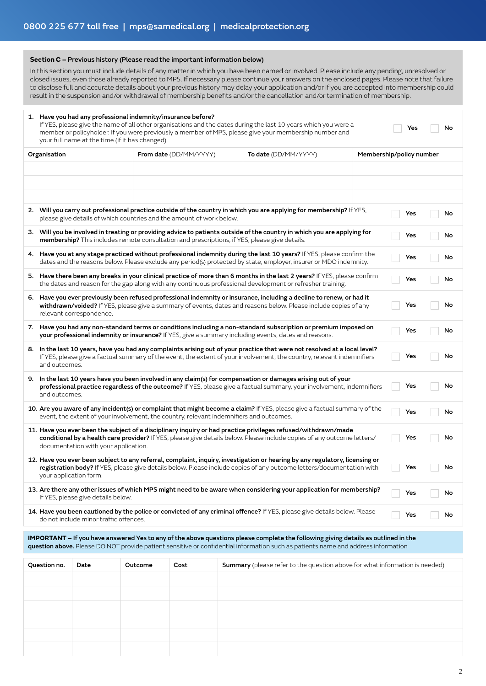#### **Section C –** Previous history (Please read the important information below)

In this section you must include details of any matter in which you have been named or involved. Please include any pending, unresolved or closed issues, even those already reported to MPS. If necessary please continue your answers on the enclosed pages. Please note that failure to disclose full and accurate details about your previous history may delay your application and/or if you are accepted into membership could result in the suspension and/or withdrawal of membership benefits and/or the cancellation and/or termination of membership.

|                                                                                                                                                                                                                                                                                                | 1. Have you had any professional indemnity/insurance before?<br>If YES, please give the name of all other organisations and the dates during the last 10 years which you were a<br>Yes<br>No<br>member or policyholder. If you were previously a member of MPS, please give your membership number and<br>your full name at the time (if it has changed). |      |                                                       |                                                                      |                          |                                                                                                                      |  |     |    |
|------------------------------------------------------------------------------------------------------------------------------------------------------------------------------------------------------------------------------------------------------------------------------------------------|-----------------------------------------------------------------------------------------------------------------------------------------------------------------------------------------------------------------------------------------------------------------------------------------------------------------------------------------------------------|------|-------------------------------------------------------|----------------------------------------------------------------------|--------------------------|----------------------------------------------------------------------------------------------------------------------|--|-----|----|
| Organisation                                                                                                                                                                                                                                                                                   |                                                                                                                                                                                                                                                                                                                                                           |      | From date (DD/MM/YYYY)<br><b>To date</b> (DD/MM/YYYY) |                                                                      | Membership/policy number |                                                                                                                      |  |     |    |
|                                                                                                                                                                                                                                                                                                |                                                                                                                                                                                                                                                                                                                                                           |      |                                                       |                                                                      |                          |                                                                                                                      |  |     |    |
|                                                                                                                                                                                                                                                                                                |                                                                                                                                                                                                                                                                                                                                                           |      |                                                       |                                                                      |                          |                                                                                                                      |  |     |    |
|                                                                                                                                                                                                                                                                                                |                                                                                                                                                                                                                                                                                                                                                           |      |                                                       |                                                                      |                          |                                                                                                                      |  |     |    |
|                                                                                                                                                                                                                                                                                                |                                                                                                                                                                                                                                                                                                                                                           |      |                                                       | please give details of which countries and the amount of work below. |                          | 2. Will you carry out professional practice outside of the country in which you are applying for membership? If YES, |  | Yes | No |
|                                                                                                                                                                                                                                                                                                | 3. Will you be involved in treating or providing advice to patients outside of the country in which you are applying for<br>No<br>Yes<br>membership? This includes remote consultation and prescriptions, if YES, please give details.                                                                                                                    |      |                                                       |                                                                      |                          |                                                                                                                      |  |     |    |
|                                                                                                                                                                                                                                                                                                | 4. Have you at any stage practiced without professional indemnity during the last 10 years? If YES, please confirm the<br>Yes<br>No<br>dates and the reasons below. Please exclude any period(s) protected by state, employer, insurer or MDO indemnity.                                                                                                  |      |                                                       |                                                                      |                          |                                                                                                                      |  |     |    |
|                                                                                                                                                                                                                                                                                                | 5. Have there been any breaks in your clinical practice of more than 6 months in the last 2 years? If YES, please confirm<br>No<br>Yes<br>the dates and reason for the gap along with any continuous professional development or refresher training.                                                                                                      |      |                                                       |                                                                      |                          |                                                                                                                      |  |     |    |
|                                                                                                                                                                                                                                                                                                | 6. Have you ever previously been refused professional indemnity or insurance, including a decline to renew, or had it<br>Yes<br>No<br>withdrawn/voided? If YES, please give a summary of events, dates and reasons below. Please include copies of any<br>relevant correspondence.                                                                        |      |                                                       |                                                                      |                          |                                                                                                                      |  |     |    |
|                                                                                                                                                                                                                                                                                                | 7. Have you had any non-standard terms or conditions including a non-standard subscription or premium imposed on<br>No<br>Yes<br>your professional indemnity or insurance? If YES, give a summary including events, dates and reasons.                                                                                                                    |      |                                                       |                                                                      |                          |                                                                                                                      |  |     |    |
|                                                                                                                                                                                                                                                                                                | 8. In the last 10 years, have you had any complaints arising out of your practice that were not resolved at a local level?<br>Yes<br>If YES, please give a factual summary of the event, the extent of your involvement, the country, relevant indemnifiers<br>No<br>and outcomes.                                                                        |      |                                                       |                                                                      |                          |                                                                                                                      |  |     |    |
|                                                                                                                                                                                                                                                                                                | 9. In the last 10 years have you been involved in any claim(s) for compensation or damages arising out of your<br>professional practice regardless of the outcome? If YES, please give a factual summary, your involvement, indemnifiers<br>Yes<br>No<br>and outcomes.                                                                                    |      |                                                       |                                                                      |                          |                                                                                                                      |  |     |    |
| 10. Are you aware of any incident(s) or complaint that might become a claim? If YES, please give a factual summary of the<br>Yes<br>No<br>event, the extent of your involvement, the country, relevant indemnifiers and outcomes.                                                              |                                                                                                                                                                                                                                                                                                                                                           |      |                                                       |                                                                      |                          |                                                                                                                      |  |     |    |
| 11. Have you ever been the subject of a disciplinary inquiry or had practice privileges refused/withdrawn/made<br>conditional by a health care provider? If YES, please give details below. Please include copies of any outcome letters/<br>No<br>Yes<br>documentation with your application. |                                                                                                                                                                                                                                                                                                                                                           |      |                                                       |                                                                      |                          |                                                                                                                      |  |     |    |
| 12. Have you ever been subject to any referral, complaint, inquiry, investigation or hearing by any regulatory, licensing or<br>registration body? If YES, please give details below. Please include copies of any outcome letters/documentation with<br>Yes<br>No<br>your application form.   |                                                                                                                                                                                                                                                                                                                                                           |      |                                                       |                                                                      |                          |                                                                                                                      |  |     |    |
| 13. Are there any other issues of which MPS might need to be aware when considering your application for membership?<br>Yes<br>No<br>If YES, please give details below.                                                                                                                        |                                                                                                                                                                                                                                                                                                                                                           |      |                                                       |                                                                      |                          |                                                                                                                      |  |     |    |
| 14. Have you been cautioned by the police or convicted of any criminal offence? If YES, please give details below. Please<br>No<br>Yes<br>do not include minor traffic offences.                                                                                                               |                                                                                                                                                                                                                                                                                                                                                           |      |                                                       |                                                                      |                          |                                                                                                                      |  |     |    |
| IMPORTANT - If you have answered Yes to any of the above questions please complete the following giving details as outlined in the<br>question above. Please DO NOT provide patient sensitive or confidential information such as patients name and address information                        |                                                                                                                                                                                                                                                                                                                                                           |      |                                                       |                                                                      |                          |                                                                                                                      |  |     |    |
|                                                                                                                                                                                                                                                                                                | Question no.                                                                                                                                                                                                                                                                                                                                              | Date | Outcome                                               | Cost                                                                 |                          | <b>Summary</b> (please refer to the question above for what information is needed)                                   |  |     |    |
|                                                                                                                                                                                                                                                                                                |                                                                                                                                                                                                                                                                                                                                                           |      |                                                       |                                                                      |                          |                                                                                                                      |  |     |    |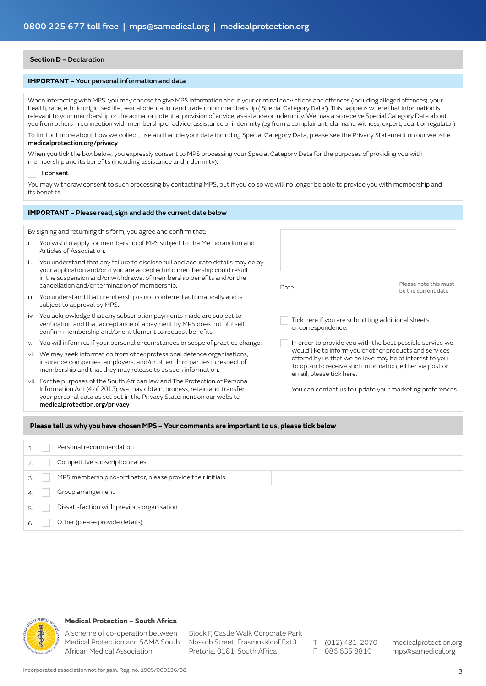### **Section D –** Declaration

#### **IMPORTANT** – Your personal information and data

When interacting with MPS, you may choose to give MPS information about your criminal convictions and offences (including alleged offences), your health, race, ethnic origin, sex life, sexual orientation and trade union membership ('Special Category Data'). This happens where that information is relevant to your membership or the actual or potential provision of advice, assistance or indemnity. We may also receive Special Category Data about you from others in connection with membership or advice, assistance or indemnity (eg from a complainant, claimant, witness, expert, court or regulator).

To find out more about how we collect, use and handle your data including Special Category Data, please see the Privacy Statement on our website medicalprotection.org/privacy

When you tick the box below, you expressly consent to MPS processing your Special Category Data for the purposes of providing you with membership and its benefits (including assistance and indemnity).

#### I consent

You may withdraw consent to such processing by contacting MPS, but if you do so we will no longer be able to provide you with membership and its benefits.

|      | <b>IMPORTANT</b> – Please read, sign and add the current date below                                                                                                                                                                                                 |                                                                         |                                                                                                                                                                                  |
|------|---------------------------------------------------------------------------------------------------------------------------------------------------------------------------------------------------------------------------------------------------------------------|-------------------------------------------------------------------------|----------------------------------------------------------------------------------------------------------------------------------------------------------------------------------|
|      |                                                                                                                                                                                                                                                                     |                                                                         |                                                                                                                                                                                  |
|      | By signing and returning this form, you agree and confirm that:                                                                                                                                                                                                     |                                                                         |                                                                                                                                                                                  |
| L.   | You wish to apply for membership of MPS subject to the Memorandum and<br>Articles of Association.                                                                                                                                                                   |                                                                         |                                                                                                                                                                                  |
| ii.  | You understand that any failure to disclose full and accurate details may delay<br>your application and/or if you are accepted into membership could result                                                                                                         |                                                                         |                                                                                                                                                                                  |
|      | in the suspension and/or withdrawal of membership benefits and/or the<br>cancellation and/or termination of membership.                                                                                                                                             | Date                                                                    | Please note this must<br>be the current date                                                                                                                                     |
| iii. | You understand that membership is not conferred automatically and is<br>subject to approval by MPS.                                                                                                                                                                 |                                                                         |                                                                                                                                                                                  |
|      | iv. You acknowledge that any subscription payments made are subject to<br>verification and that acceptance of a payment by MPS does not of itself<br>confirm membership and/or entitlement to request benefits.                                                     | Tick here if you are submitting additional sheets<br>or correspondence. |                                                                                                                                                                                  |
| V.   | You will inform us if your personal circumstances or scope of practice change.                                                                                                                                                                                      |                                                                         | In order to provide you with the best possible service we                                                                                                                        |
| VI.  | We may seek information from other professional defence organisations,<br>insurance companies, employers, and/or other third parties in respect of<br>membership and that they may release to us such information.                                                  | email, please tick here.                                                | would like to inform you of other products and services<br>offered by us that we believe may be of interest to you.<br>To opt-in to receive such information, either via post or |
|      | vii. For the purposes of the South African law and The Protection of Personal<br>Information Act (4 of 2013), we may obtain, process, retain and transfer<br>your personal data as set out in the Privacy Statement on our website<br>medicalprotection.org/privacy |                                                                         | You can contact us to update your marketing preferences.                                                                                                                         |

#### **Please tell us why you have chosen MPS – Your comments are important to us, please tick below**

|    | Personal recommendation                                     |  |
|----|-------------------------------------------------------------|--|
|    | Competitive subscription rates                              |  |
|    | MPS membership co-ordinator, please provide their initials: |  |
|    | Group arrangement                                           |  |
|    | Dissatisfaction with previous organisation                  |  |
| ь. | Other (please provide details)                              |  |



## **Medical Protection – South Africa**

A scheme of co-operation between Medical Protection and SAMA South Nossob Street, Erasmuskloof Ext3 African Medical Association

Block F, Castle Walk Corporate Park Pretoria, 0181, South Africa

T (012) 481-2070 F 086 635 8810

medicalprotection.org mps@samedical.org